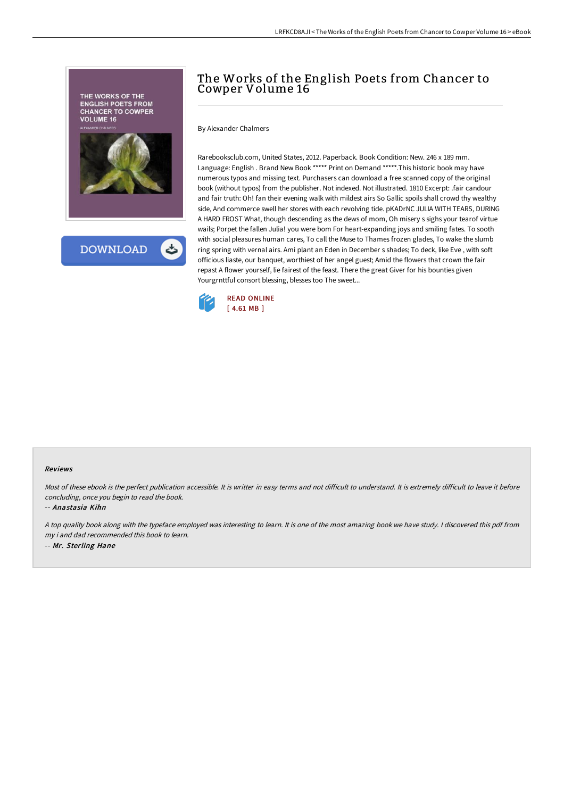

## The Works of the English Poets from Chancer to Cowper Volume 16

By Alexander Chalmers

Rarebooksclub.com, United States, 2012. Paperback. Book Condition: New. 246 x 189 mm. Language: English . Brand New Book \*\*\*\*\* Print on Demand \*\*\*\*\*.This historic book may have numerous typos and missing text. Purchasers can download a free scanned copy of the original book (without typos) from the publisher. Not indexed. Not illustrated. 1810 Excerpt: .fair candour and fair truth: Oh! fan their evening walk with mildest airs So Gallic spoils shall crowd thy wealthy side, And commerce swell her stores with each revolving tide. pKADrNC JULIA WITH TEARS, DURING A HARD FROST What, though descending as the dews of mom, Oh misery s sighs your tearof virtue wails; Porpet the fallen Julia! you were bom For heart-expanding joys and smiling fates. To sooth with social pleasures human cares, To call the Muse to Thames frozen glades, To wake the slumb ring spring with vernal airs. Ami plant an Eden in December s shades; To deck, like Eve , with soft officious liaste, our banquet, worthiest of her angel guest; Amid the flowers that crown the fair repast A flower yourself, lie fairest of the feast. There the great Giver for his bounties given Yourgrnttful consort blessing, blesses too The sweet...



## Reviews

Most of these ebook is the perfect publication accessible. It is writter in easy terms and not difficult to understand. It is extremely difficult to leave it before concluding, once you begin to read the book.

-- Anastasia Kihn

<sup>A</sup> top quality book along with the typeface employed was interesting to learn. It is one of the most amazing book we have study. <sup>I</sup> discovered this pdf from my i and dad recommended this book to learn. -- Mr. Sterling Hane